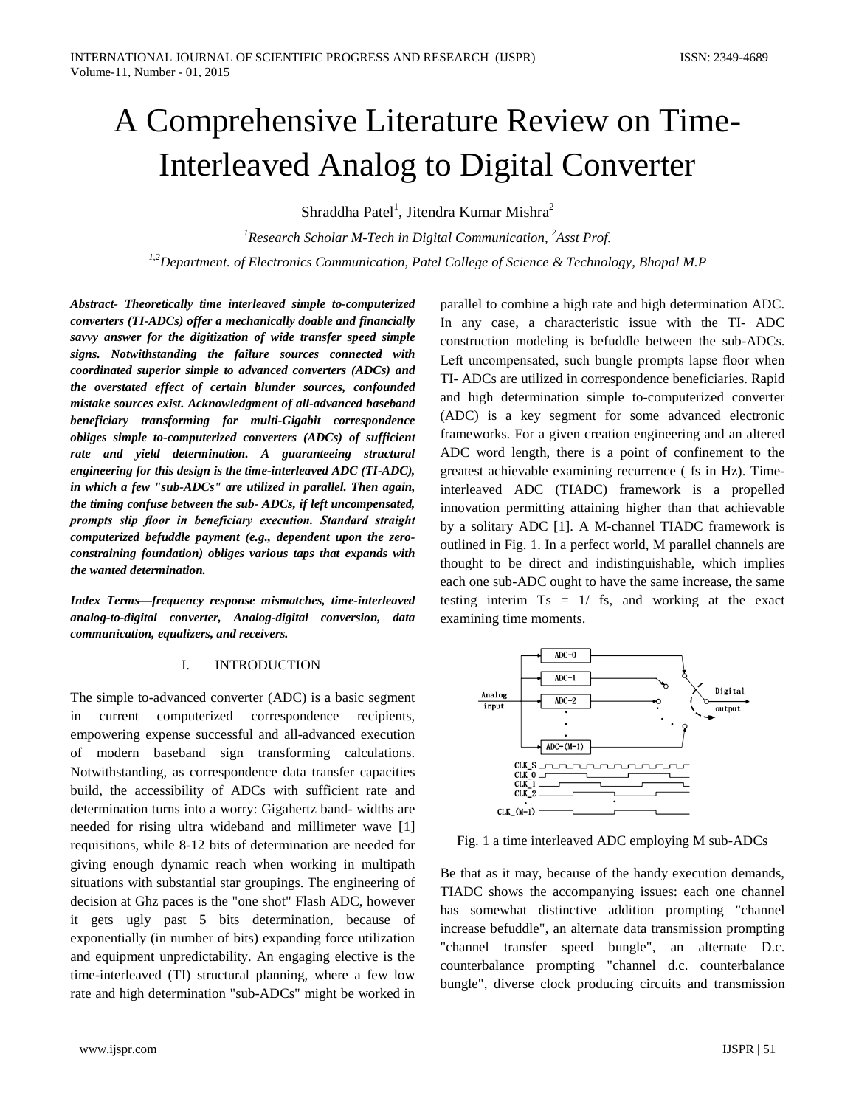# A Comprehensive Literature Review on Time-Interleaved Analog to Digital Converter

Shraddha Patel<sup>1</sup>, Jitendra Kumar Mishra<sup>2</sup>

*1 Research Scholar M-Tech in Digital Communication, 2 Asst Prof. 1,2Department. of Electronics Communication, Patel College of Science & Technology, Bhopal M.P*

*Abstract- Theoretically time interleaved simple to-computerized converters (TI-ADCs) offer a mechanically doable and financially savvy answer for the digitization of wide transfer speed simple signs. Notwithstanding the failure sources connected with coordinated superior simple to advanced converters (ADCs) and the overstated effect of certain blunder sources, confounded mistake sources exist. Acknowledgment of all-advanced baseband beneficiary transforming for multi-Gigabit correspondence obliges simple to-computerized converters (ADCs) of sufficient rate and yield determination. A guaranteeing structural engineering for this design is the time-interleaved ADC (TI-ADC), in which a few "sub-ADCs" are utilized in parallel. Then again, the timing confuse between the sub- ADCs, if left uncompensated, prompts slip floor in beneficiary execution. Standard straight computerized befuddle payment (e.g., dependent upon the zeroconstraining foundation) obliges various taps that expands with the wanted determination.*

*Index Terms—frequency response mismatches, time-interleaved analog-to-digital converter, Analog-digital conversion, data communication, equalizers, and receivers.*

# I. INTRODUCTION

The simple to-advanced converter (ADC) is a basic segment in current computerized correspondence recipients, empowering expense successful and all-advanced execution of modern baseband sign transforming calculations. Notwithstanding, as correspondence data transfer capacities build, the accessibility of ADCs with sufficient rate and determination turns into a worry: Gigahertz band- widths are needed for rising ultra wideband and millimeter wave [1] requisitions, while 8-12 bits of determination are needed for giving enough dynamic reach when working in multipath situations with substantial star groupings. The engineering of decision at Ghz paces is the "one shot" Flash ADC, however it gets ugly past 5 bits determination, because of exponentially (in number of bits) expanding force utilization and equipment unpredictability. An engaging elective is the time-interleaved (TI) structural planning, where a few low rate and high determination "sub-ADCs" might be worked in

parallel to combine a high rate and high determination ADC. In any case, a characteristic issue with the TI- ADC construction modeling is befuddle between the sub-ADCs. Left uncompensated, such bungle prompts lapse floor when TI- ADCs are utilized in correspondence beneficiaries. Rapid and high determination simple to-computerized converter (ADC) is a key segment for some advanced electronic frameworks. For a given creation engineering and an altered ADC word length, there is a point of confinement to the greatest achievable examining recurrence ( fs in Hz). Timeinterleaved ADC (TIADC) framework is a propelled innovation permitting attaining higher than that achievable by a solitary ADC [1]. A M-channel TIADC framework is outlined in Fig. 1. In a perfect world, M parallel channels are thought to be direct and indistinguishable, which implies each one sub-ADC ought to have the same increase, the same testing interim  $Ts = 1/fs$ , and working at the exact examining time moments.



Fig. 1 a time interleaved ADC employing M sub-ADCs

Be that as it may, because of the handy execution demands, TIADC shows the accompanying issues: each one channel has somewhat distinctive addition prompting "channel increase befuddle", an alternate data transmission prompting "channel transfer speed bungle", an alternate D.c. counterbalance prompting "channel d.c. counterbalance bungle", diverse clock producing circuits and transmission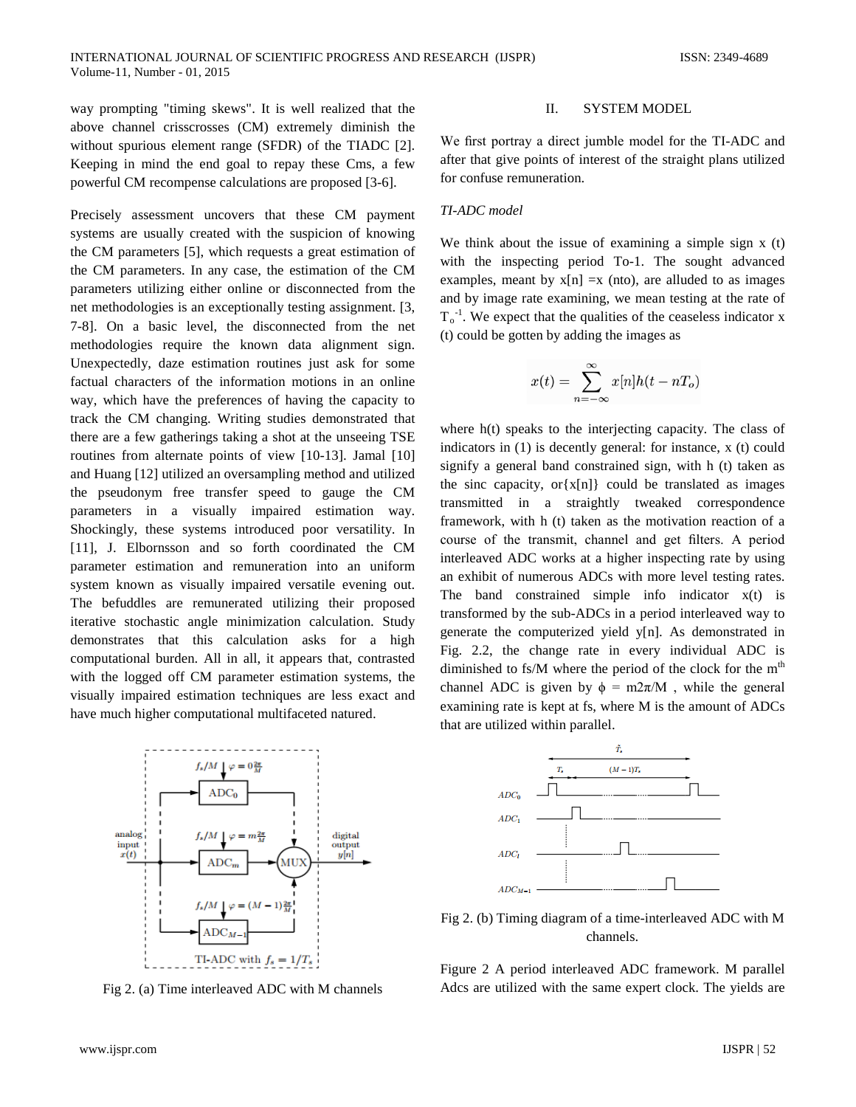way prompting "timing skews". It is well realized that the above channel crisscrosses (CM) extremely diminish the without spurious element range (SFDR) of the TIADC [2]. Keeping in mind the end goal to repay these Cms, a few powerful CM recompense calculations are proposed [3-6].

Precisely assessment uncovers that these CM payment systems are usually created with the suspicion of knowing the CM parameters [5], which requests a great estimation of the CM parameters. In any case, the estimation of the CM parameters utilizing either online or disconnected from the net methodologies is an exceptionally testing assignment. [3, 7-8]. On a basic level, the disconnected from the net methodologies require the known data alignment sign. Unexpectedly, daze estimation routines just ask for some factual characters of the information motions in an online way, which have the preferences of having the capacity to track the CM changing. Writing studies demonstrated that there are a few gatherings taking a shot at the unseeing TSE routines from alternate points of view [10-13]. Jamal [10] and Huang [12] utilized an oversampling method and utilized the pseudonym free transfer speed to gauge the CM parameters in a visually impaired estimation way. Shockingly, these systems introduced poor versatility. In [11], J. Elbornsson and so forth coordinated the CM parameter estimation and remuneration into an uniform system known as visually impaired versatile evening out. The befuddles are remunerated utilizing their proposed iterative stochastic angle minimization calculation. Study demonstrates that this calculation asks for a high computational burden. All in all, it appears that, contrasted with the logged off CM parameter estimation systems, the visually impaired estimation techniques are less exact and have much higher computational multifaceted natured.



Fig 2. (a) Time interleaved ADC with M channels

# II. SYSTEM MODEL

We first portray a direct jumble model for the TI-ADC and after that give points of interest of the straight plans utilized for confuse remuneration.

# *TI-ADC model*

We think about the issue of examining a simple sign x (t) with the inspecting period To-1. The sought advanced examples, meant by  $x[n] = x$  (nto), are alluded to as images and by image rate examining, we mean testing at the rate of  $T_0$ <sup>-1</sup>. We expect that the qualities of the ceaseless indicator x (t) could be gotten by adding the images as

$$
x(t) = \sum_{n = -\infty}^{\infty} x[n]h(t - nT_o)
$$

where h(t) speaks to the interjecting capacity. The class of indicators in (1) is decently general: for instance, x (t) could signify a general band constrained sign, with h (t) taken as the sinc capacity,  $or{x[n]}$  could be translated as images transmitted in a straightly tweaked correspondence framework, with h (t) taken as the motivation reaction of a course of the transmit, channel and get filters. A period interleaved ADC works at a higher inspecting rate by using an exhibit of numerous ADCs with more level testing rates. The band constrained simple info indicator  $x(t)$  is transformed by the sub-ADCs in a period interleaved way to generate the computerized yield y[n]. As demonstrated in Fig. 2.2, the change rate in every individual ADC is diminished to fs/ $M$  where the period of the clock for the  $m<sup>th</sup>$ channel ADC is given by  $\phi = m2\pi/M$ , while the general examining rate is kept at fs, where M is the amount of ADCs that are utilized within parallel.



Fig 2. (b) Timing diagram of a time-interleaved ADC with M channels.

Figure 2 A period interleaved ADC framework. M parallel Adcs are utilized with the same expert clock. The yields are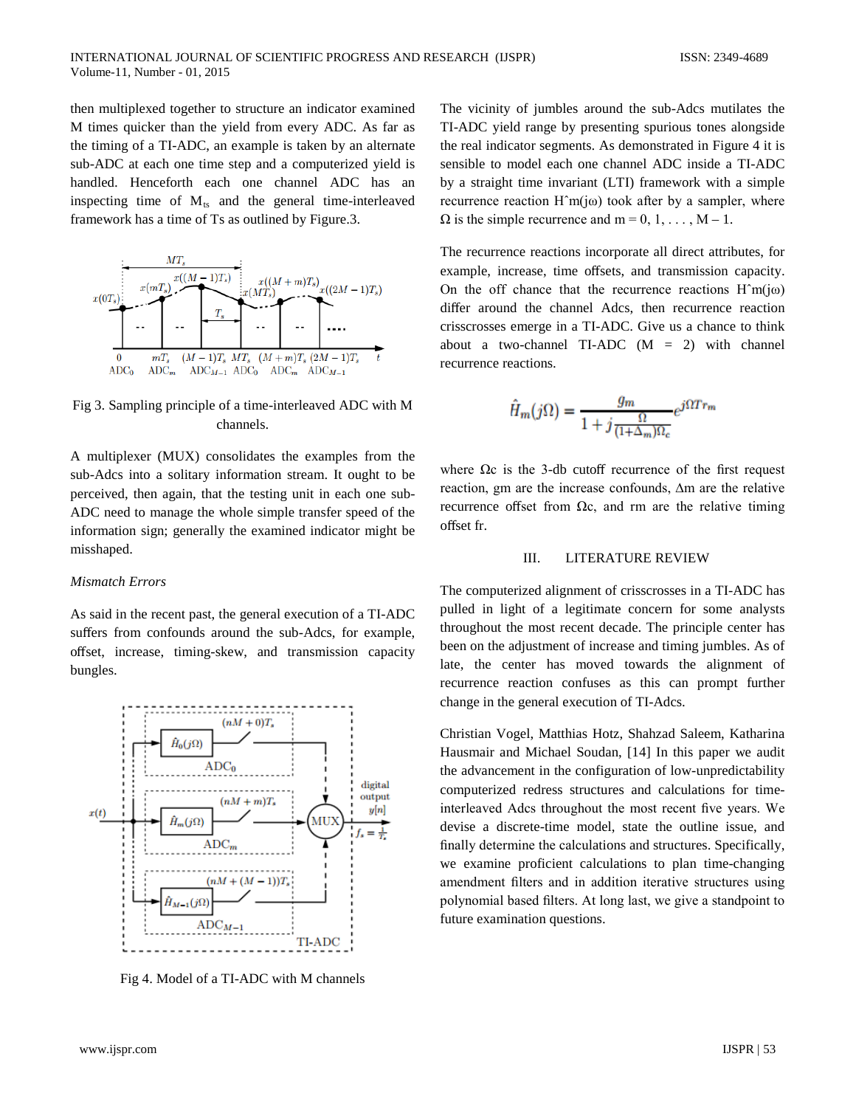then multiplexed together to structure an indicator examined M times quicker than the yield from every ADC. As far as the timing of a TI-ADC, an example is taken by an alternate sub-ADC at each one time step and a computerized yield is handled. Henceforth each one channel ADC has an inspecting time of  $M_{ts}$  and the general time-interleaved framework has a time of Ts as outlined by Figure.3.



Fig 3. Sampling principle of a time-interleaved ADC with M channels.

A multiplexer (MUX) consolidates the examples from the sub-Adcs into a solitary information stream. It ought to be perceived, then again, that the testing unit in each one sub-ADC need to manage the whole simple transfer speed of the information sign; generally the examined indicator might be misshaped.

#### *Mismatch Errors*

As said in the recent past, the general execution of a TI-ADC suffers from confounds around the sub-Adcs, for example, offset, increase, timing-skew, and transmission capacity bungles.



Fig 4. Model of a TI-ADC with M channels

The vicinity of jumbles around the sub-Adcs mutilates the TI-ADC yield range by presenting spurious tones alongside the real indicator segments. As demonstrated in Figure 4 it is sensible to model each one channel ADC inside a TI-ADC by a straight time invariant (LTI) framework with a simple recurrence reaction  $H^m(j\omega)$  took after by a sampler, where  $\Omega$  is the simple recurrence and m = 0, 1, ..., M – 1.

The recurrence reactions incorporate all direct attributes, for example, increase, time offsets, and transmission capacity. On the off chance that the recurrence reactions  $H<sup>^</sup>m(i\omega)$ differ around the channel Adcs, then recurrence reaction crisscrosses emerge in a TI-ADC. Give us a chance to think about a two-channel TI-ADC  $(M = 2)$  with channel recurrence reactions.

$$
\hat{H}_m(j\Omega) = \frac{g_m}{1 + j\frac{\Omega}{(1 + \Delta_m)\Omega_c}} e^{j\Omega T r_m}
$$

where  $\Omega$ c is the 3-db cutoff recurrence of the first request reaction, gm are the increase confounds, ∆m are the relative recurrence offset from  $Ωc$ , and rm are the relative timing offset fr.

#### III. LITERATURE REVIEW

The computerized alignment of crisscrosses in a TI-ADC has pulled in light of a legitimate concern for some analysts throughout the most recent decade. The principle center has been on the adjustment of increase and timing jumbles. As of late, the center has moved towards the alignment of recurrence reaction confuses as this can prompt further change in the general execution of TI-Adcs.

Christian Vogel, Matthias Hotz, Shahzad Saleem, Katharina Hausmair and Michael Soudan, [14] In this paper we audit the advancement in the configuration of low-unpredictability computerized redress structures and calculations for timeinterleaved Adcs throughout the most recent five years. We devise a discrete-time model, state the outline issue, and finally determine the calculations and structures. Specifically, we examine proficient calculations to plan time-changing amendment filters and in addition iterative structures using polynomial based filters. At long last, we give a standpoint to future examination questions.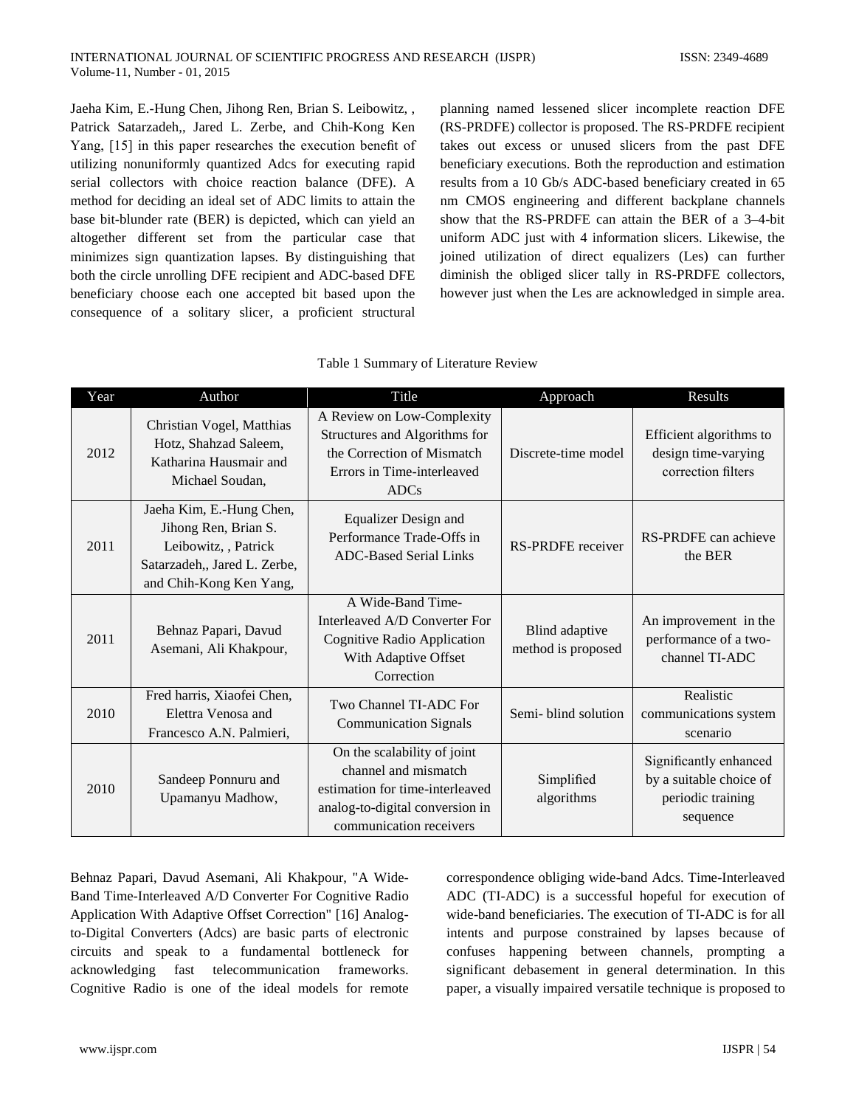Jaeha Kim, E.-Hung Chen, Jihong Ren, Brian S. Leibowitz, , Patrick Satarzadeh,, Jared L. Zerbe, and Chih-Kong Ken Yang, [15] in this paper researches the execution benefit of utilizing nonuniformly quantized Adcs for executing rapid serial collectors with choice reaction balance (DFE). A method for deciding an ideal set of ADC limits to attain the base bit-blunder rate (BER) is depicted, which can yield an altogether different set from the particular case that minimizes sign quantization lapses. By distinguishing that both the circle unrolling DFE recipient and ADC-based DFE beneficiary choose each one accepted bit based upon the consequence of a solitary slicer, a proficient structural

planning named lessened slicer incomplete reaction DFE (RS-PRDFE) collector is proposed. The RS-PRDFE recipient takes out excess or unused slicers from the past DFE beneficiary executions. Both the reproduction and estimation results from a 10 Gb/s ADC-based beneficiary created in 65 nm CMOS engineering and different backplane channels show that the RS-PRDFE can attain the BER of a 3–4-bit uniform ADC just with 4 information slicers. Likewise, the joined utilization of direct equalizers (Les) can further diminish the obliged slicer tally in RS-PRDFE collectors, however just when the Les are acknowledged in simple area.

| Year | Author                                                                                                                              | Title                                                                                                                                                | Approach                             | Results                                                                            |
|------|-------------------------------------------------------------------------------------------------------------------------------------|------------------------------------------------------------------------------------------------------------------------------------------------------|--------------------------------------|------------------------------------------------------------------------------------|
| 2012 | Christian Vogel, Matthias<br>Hotz, Shahzad Saleem,<br>Katharina Hausmair and<br>Michael Soudan,                                     | A Review on Low-Complexity<br>Structures and Algorithms for<br>the Correction of Mismatch<br>Errors in Time-interleaved<br><b>ADCs</b>               | Discrete-time model                  | Efficient algorithms to<br>design time-varying<br>correction filters               |
| 2011 | Jaeha Kim, E.-Hung Chen,<br>Jihong Ren, Brian S.<br>Leibowitz, , Patrick<br>Satarzadeh,, Jared L. Zerbe,<br>and Chih-Kong Ken Yang, | <b>Equalizer Design and</b><br>Performance Trade-Offs in<br><b>ADC-Based Serial Links</b>                                                            | <b>RS-PRDFE</b> receiver             | RS-PRDFE can achieve<br>the BER                                                    |
| 2011 | Behnaz Papari, Davud<br>Asemani, Ali Khakpour,                                                                                      | A Wide-Band Time-<br>Interleaved A/D Converter For<br>Cognitive Radio Application<br>With Adaptive Offset<br>Correction                              | Blind adaptive<br>method is proposed | An improvement in the<br>performance of a two-<br>channel TI-ADC                   |
| 2010 | Fred harris, Xiaofei Chen,<br>Elettra Venosa and<br>Francesco A.N. Palmieri,                                                        | Two Channel TI-ADC For<br><b>Communication Signals</b>                                                                                               | Semi-blind solution                  | Realistic<br>communications system<br>scenario                                     |
| 2010 | Sandeep Ponnuru and<br>Upamanyu Madhow,                                                                                             | On the scalability of joint<br>channel and mismatch<br>estimation for time-interleaved<br>analog-to-digital conversion in<br>communication receivers | Simplified<br>algorithms             | Significantly enhanced<br>by a suitable choice of<br>periodic training<br>sequence |

## Table 1 Summary of Literature Review

Behnaz Papari, Davud Asemani, Ali Khakpour, "A Wide-Band Time-Interleaved A/D Converter For Cognitive Radio Application With Adaptive Offset Correction" [16] Analogto-Digital Converters (Adcs) are basic parts of electronic circuits and speak to a fundamental bottleneck for acknowledging fast telecommunication frameworks. Cognitive Radio is one of the ideal models for remote correspondence obliging wide-band Adcs. Time-Interleaved ADC (TI-ADC) is a successful hopeful for execution of wide-band beneficiaries. The execution of TI-ADC is for all intents and purpose constrained by lapses because of confuses happening between channels, prompting a significant debasement in general determination. In this paper, a visually impaired versatile technique is proposed to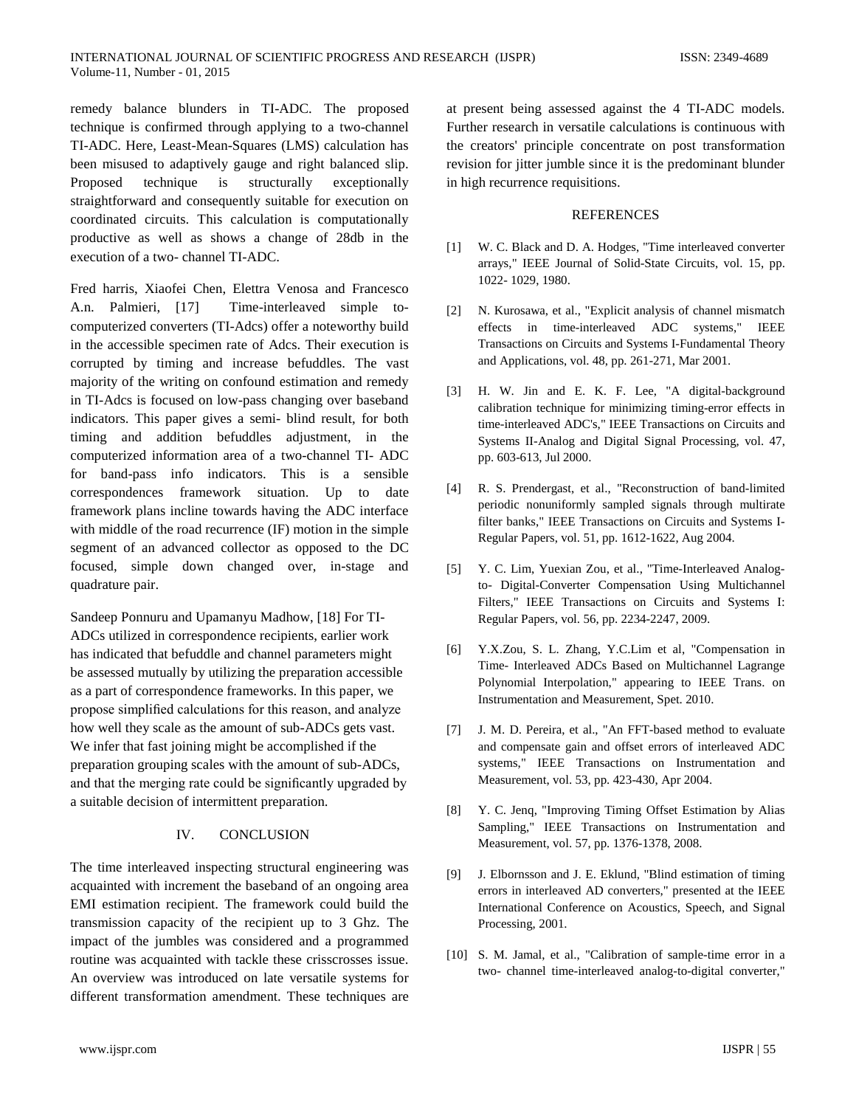remedy balance blunders in TI-ADC. The proposed technique is confirmed through applying to a two-channel TI-ADC. Here, Least-Mean-Squares (LMS) calculation has been misused to adaptively gauge and right balanced slip. Proposed technique is structurally exceptionally straightforward and consequently suitable for execution on coordinated circuits. This calculation is computationally productive as well as shows a change of 28db in the execution of a two- channel TI-ADC.

Fred harris, Xiaofei Chen, Elettra Venosa and Francesco A.n. Palmieri, [17] Time-interleaved simple tocomputerized converters (TI-Adcs) offer a noteworthy build in the accessible specimen rate of Adcs. Their execution is corrupted by timing and increase befuddles. The vast majority of the writing on confound estimation and remedy in TI-Adcs is focused on low-pass changing over baseband indicators. This paper gives a semi- blind result, for both timing and addition befuddles adjustment, in the computerized information area of a two-channel TI- ADC for band-pass info indicators. This is a sensible correspondences framework situation. Up to date framework plans incline towards having the ADC interface with middle of the road recurrence (IF) motion in the simple segment of an advanced collector as opposed to the DC focused, simple down changed over, in-stage and quadrature pair.

Sandeep Ponnuru and Upamanyu Madhow, [18] For TI-ADCs utilized in correspondence recipients, earlier work has indicated that befuddle and channel parameters might be assessed mutually by utilizing the preparation accessible as a part of correspondence frameworks. In this paper, we propose simplified calculations for this reason, and analyze how well they scale as the amount of sub-ADCs gets vast. We infer that fast joining might be accomplished if the preparation grouping scales with the amount of sub-ADCs, and that the merging rate could be significantly upgraded by a suitable decision of intermittent preparation.

# IV. CONCLUSION

The time interleaved inspecting structural engineering was acquainted with increment the baseband of an ongoing area EMI estimation recipient. The framework could build the transmission capacity of the recipient up to 3 Ghz. The impact of the jumbles was considered and a programmed routine was acquainted with tackle these crisscrosses issue. An overview was introduced on late versatile systems for different transformation amendment. These techniques are

at present being assessed against the 4 TI-ADC models. Further research in versatile calculations is continuous with the creators' principle concentrate on post transformation revision for jitter jumble since it is the predominant blunder in high recurrence requisitions.

# **REFERENCES**

- [1] W. C. Black and D. A. Hodges, "Time interleaved converter arrays," IEEE Journal of Solid-State Circuits, vol. 15, pp. 1022- 1029, 1980.
- [2] N. Kurosawa, et al., "Explicit analysis of channel mismatch effects in time-interleaved ADC systems," IEEE Transactions on Circuits and Systems I-Fundamental Theory and Applications, vol. 48, pp. 261-271, Mar 2001.
- [3] H. W. Jin and E. K. F. Lee, "A digital-background calibration technique for minimizing timing-error effects in time-interleaved ADC's," IEEE Transactions on Circuits and Systems II-Analog and Digital Signal Processing, vol. 47, pp. 603-613, Jul 2000.
- [4] R. S. Prendergast, et al., "Reconstruction of band-limited periodic nonuniformly sampled signals through multirate filter banks," IEEE Transactions on Circuits and Systems I-Regular Papers, vol. 51, pp. 1612-1622, Aug 2004.
- [5] Y. C. Lim, Yuexian Zou, et al., "Time-Interleaved Analogto- Digital-Converter Compensation Using Multichannel Filters," IEEE Transactions on Circuits and Systems I: Regular Papers, vol. 56, pp. 2234-2247, 2009.
- [6] Y.X.Zou, S. L. Zhang, Y.C.Lim et al, "Compensation in Time- Interleaved ADCs Based on Multichannel Lagrange Polynomial Interpolation," appearing to IEEE Trans. on Instrumentation and Measurement, Spet. 2010.
- [7] J. M. D. Pereira, et al., "An FFT-based method to evaluate and compensate gain and offset errors of interleaved ADC systems," IEEE Transactions on Instrumentation and Measurement, vol. 53, pp. 423-430, Apr 2004.
- [8] Y. C. Jenq, "Improving Timing Offset Estimation by Alias Sampling," IEEE Transactions on Instrumentation and Measurement, vol. 57, pp. 1376-1378, 2008.
- [9] J. Elbornsson and J. E. Eklund, "Blind estimation of timing errors in interleaved AD converters," presented at the IEEE International Conference on Acoustics, Speech, and Signal Processing, 2001.
- [10] S. M. Jamal, et al., "Calibration of sample-time error in a two- channel time-interleaved analog-to-digital converter,"